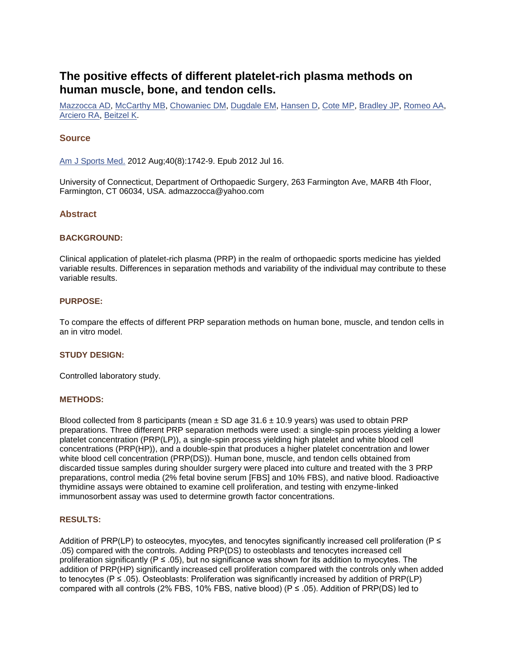# **The positive effects of different platelet-rich plasma methods on human muscle, bone, and tendon cells.**

[Mazzocca AD,](http://www.ncbi.nlm.nih.gov/pubmed?term=Mazzocca%20AD%5BAuthor%5D&cauthor=true&cauthor_uid=22802273) [McCarthy MB,](http://www.ncbi.nlm.nih.gov/pubmed?term=McCarthy%20MB%5BAuthor%5D&cauthor=true&cauthor_uid=22802273) [Chowaniec DM,](http://www.ncbi.nlm.nih.gov/pubmed?term=Chowaniec%20DM%5BAuthor%5D&cauthor=true&cauthor_uid=22802273) [Dugdale EM,](http://www.ncbi.nlm.nih.gov/pubmed?term=Dugdale%20EM%5BAuthor%5D&cauthor=true&cauthor_uid=22802273) [Hansen D,](http://www.ncbi.nlm.nih.gov/pubmed?term=Hansen%20D%5BAuthor%5D&cauthor=true&cauthor_uid=22802273) [Cote MP,](http://www.ncbi.nlm.nih.gov/pubmed?term=Cote%20MP%5BAuthor%5D&cauthor=true&cauthor_uid=22802273) [Bradley JP,](http://www.ncbi.nlm.nih.gov/pubmed?term=Bradley%20JP%5BAuthor%5D&cauthor=true&cauthor_uid=22802273) [Romeo AA,](http://www.ncbi.nlm.nih.gov/pubmed?term=Romeo%20AA%5BAuthor%5D&cauthor=true&cauthor_uid=22802273) [Arciero RA,](http://www.ncbi.nlm.nih.gov/pubmed?term=Arciero%20RA%5BAuthor%5D&cauthor=true&cauthor_uid=22802273) [Beitzel K.](http://www.ncbi.nlm.nih.gov/pubmed?term=Beitzel%20K%5BAuthor%5D&cauthor=true&cauthor_uid=22802273)

# **Source**

[Am J Sports Med.](http://www.ncbi.nlm.nih.gov/pubmed/22802273) 2012 Aug;40(8):1742-9. Epub 2012 Jul 16.

University of Connecticut, Department of Orthopaedic Surgery, 263 Farmington Ave, MARB 4th Floor, Farmington, CT 06034, USA. admazzocca@yahoo.com

# **Abstract**

#### **BACKGROUND:**

Clinical application of platelet-rich plasma (PRP) in the realm of orthopaedic sports medicine has yielded variable results. Differences in separation methods and variability of the individual may contribute to these variable results.

#### **PURPOSE:**

To compare the effects of different PRP separation methods on human bone, muscle, and tendon cells in an in vitro model.

## **STUDY DESIGN:**

Controlled laboratory study.

#### **METHODS:**

Blood collected from 8 participants (mean  $\pm$  SD age 31.6  $\pm$  10.9 years) was used to obtain PRP preparations. Three different PRP separation methods were used: a single-spin process yielding a lower platelet concentration (PRP(LP)), a single-spin process yielding high platelet and white blood cell concentrations (PRP(HP)), and a double-spin that produces a higher platelet concentration and lower white blood cell concentration (PRP(DS)). Human bone, muscle, and tendon cells obtained from discarded tissue samples during shoulder surgery were placed into culture and treated with the 3 PRP preparations, control media (2% fetal bovine serum [FBS] and 10% FBS), and native blood. Radioactive thymidine assays were obtained to examine cell proliferation, and testing with enzyme-linked immunosorbent assay was used to determine growth factor concentrations.

## **RESULTS:**

Addition of PRP(LP) to osteocytes, myocytes, and tenocytes significantly increased cell proliferation (P  $\leq$ .05) compared with the controls. Adding PRP(DS) to osteoblasts and tenocytes increased cell proliferation significantly ( $P \le 0.05$ ), but no significance was shown for its addition to myocytes. The addition of PRP(HP) significantly increased cell proliferation compared with the controls only when added to tenocytes (P ≤ .05). Osteoblasts: Proliferation was significantly increased by addition of PRP(LP) compared with all controls (2% FBS, 10% FBS, native blood) ( $P \le 0.05$ ). Addition of PRP(DS) led to